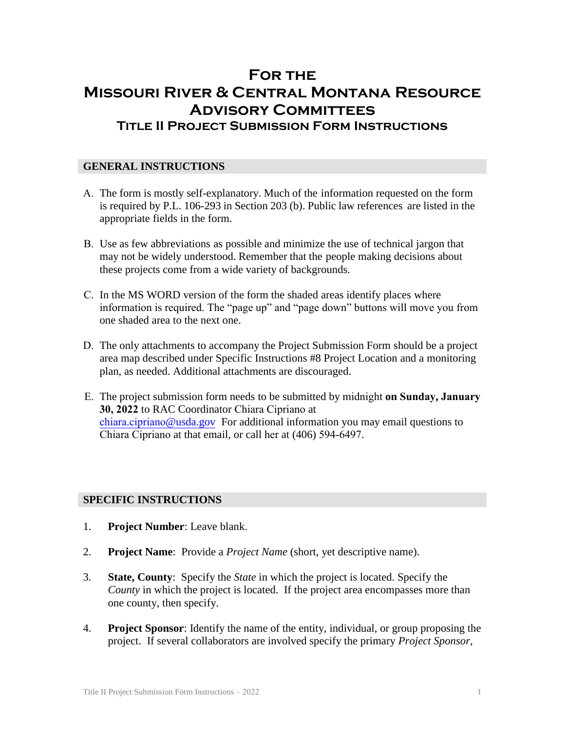# **For the Missouri River & Central Montana Resource Advisory Committees Title II Project Submission Form Instructions**

# **GENERAL INSTRUCTIONS**

- A. The form is mostly self-explanatory. Much of the information requested on the form is required by P.L. 106-293 in Section 203 (b). Public law references are listed in the appropriate fields in the form.
- B. Use as few abbreviations as possible and minimize the use of technical jargon that may not be widely understood. Remember that the people making decisions about these projects come from a wide variety of backgrounds.
- C. In the MS WORD version of the form the shaded areas identify places where information is required. The "page up" and "page down" buttons will move you from one shaded area to the next one.
- D. The only attachments to accompany the Project Submission Form should be a project area map described under Specific Instructions #8 Project Location and a monitoring plan, as needed. Additional attachments are discouraged.
- E. The project submission form needs to be submitted by midnight **on Sunday, January 30, 2022** to RAC Coordinator Chiara Cipriano at [chiara.cipriano](mailto:dave.cunningham@usda.gov)@usda.gov For additional information you may email questions to Chiara Cipriano at that email, or call her at (406) 594-6497.

#### **SPECIFIC INSTRUCTIONS**

- 1. **Project Number**: Leave blank.
- 2. **Project Name**: Provide a *Project Name* (short, yet descriptive name).
- 3. **State, County**: Specify the *State* in which the project is located. Specify the *County* in which the project is located. If the project area encompasses more than one county, then specify.
- 4. **Project Sponsor**: Identify the name of the entity, individual, or group proposing the project. If several collaborators are involved specify the primary *Project Sponsor,*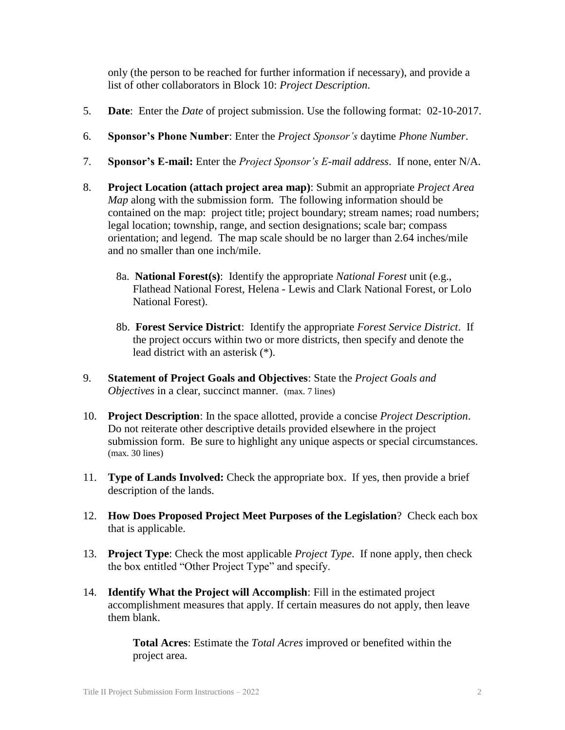only (the person to be reached for further information if necessary), and provide a list of other collaborators in Block 10: *Project Description*.

- 5. **Date**: Enter the *Date* of project submission. Use the following format: 02-10-2017.
- 6. **Sponsor's Phone Number**: Enter the *Project Sponsor's* daytime *Phone Number*.
- 7. **Sponsor's E-mail:** Enter the *Project Sponsor's E-mail address*. If none, enter N/A.
- 8. **Project Location (attach project area map)**: Submit an appropriate *Project Area Map* along with the submission form. The following information should be contained on the map: project title; project boundary; stream names; road numbers; legal location; township, range, and section designations; scale bar; compass orientation; and legend. The map scale should be no larger than 2.64 inches/mile and no smaller than one inch/mile.
	- 8a. **National Forest(s)**: Identify the appropriate *National Forest* unit (e.g., Flathead National Forest, Helena - Lewis and Clark National Forest, or Lolo National Forest).
	- 8b. **Forest Service District**: Identify the appropriate *Forest Service District*. If the project occurs within two or more districts, then specify and denote the lead district with an asterisk (\*).
- 9. **Statement of Project Goals and Objectives**: State the *Project Goals and Objectives* in a clear, succinct manner. (max. 7 lines)
- 10. **Project Description**: In the space allotted, provide a concise *Project Description*. Do not reiterate other descriptive details provided elsewhere in the project submission form. Be sure to highlight any unique aspects or special circumstances. (max. 30 lines)
- 11. **Type of Lands Involved:** Check the appropriate box. If yes, then provide a brief description of the lands.
- 12. **How Does Proposed Project Meet Purposes of the Legislation**? Check each box that is applicable.
- 13. **Project Type**: Check the most applicable *Project Type*. If none apply, then check the box entitled "Other Project Type" and specify.
- 14. **Identify What the Project will Accomplish**: Fill in the estimated project accomplishment measures that apply. If certain measures do not apply, then leave them blank.

**Total Acres**: Estimate the *Total Acres* improved or benefited within the project area.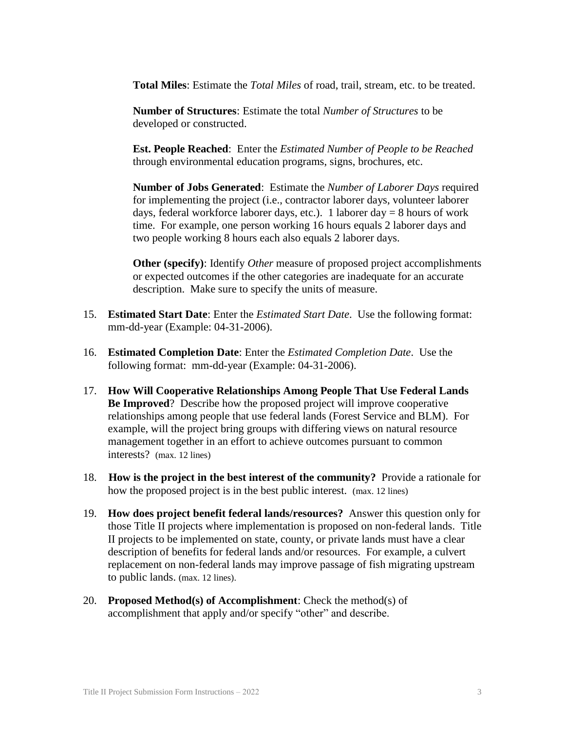**Total Miles**: Estimate the *Total Miles* of road, trail, stream, etc. to be treated.

**Number of Structures**: Estimate the total *Number of Structures* to be developed or constructed.

**Est. People Reached**: Enter the *Estimated Number of People to be Reached* through environmental education programs, signs, brochures, etc.

**Number of Jobs Generated**: Estimate the *Number of Laborer Days* required for implementing the project (i.e., contractor laborer days, volunteer laborer days, federal workforce laborer days, etc.). 1 laborer day  $= 8$  hours of work time. For example, one person working 16 hours equals 2 laborer days and two people working 8 hours each also equals 2 laborer days.

**Other (specify)**: Identify *Other* measure of proposed project accomplishments or expected outcomes if the other categories are inadequate for an accurate description. Make sure to specify the units of measure.

- 15. **Estimated Start Date**: Enter the *Estimated Start Date*. Use the following format: mm-dd-year (Example: 04-31-2006).
- 16. **Estimated Completion Date**: Enter the *Estimated Completion Date*. Use the following format: mm-dd-year (Example: 04-31-2006).
- 17. **How Will Cooperative Relationships Among People That Use Federal Lands Be Improved**? Describe how the proposed project will improve cooperative relationships among people that use federal lands (Forest Service and BLM). For example, will the project bring groups with differing views on natural resource management together in an effort to achieve outcomes pursuant to common interests? (max. 12 lines)
- 18. **How is the project in the best interest of the community?** Provide a rationale for how the proposed project is in the best public interest. (max. 12 lines)
- 19. **How does project benefit federal lands/resources?** Answer this question only for those Title II projects where implementation is proposed on non-federal lands. Title II projects to be implemented on state, county, or private lands must have a clear description of benefits for federal lands and/or resources. For example, a culvert replacement on non-federal lands may improve passage of fish migrating upstream to public lands. (max. 12 lines).
- 20. **Proposed Method(s) of Accomplishment**: Check the method(s) of accomplishment that apply and/or specify "other" and describe.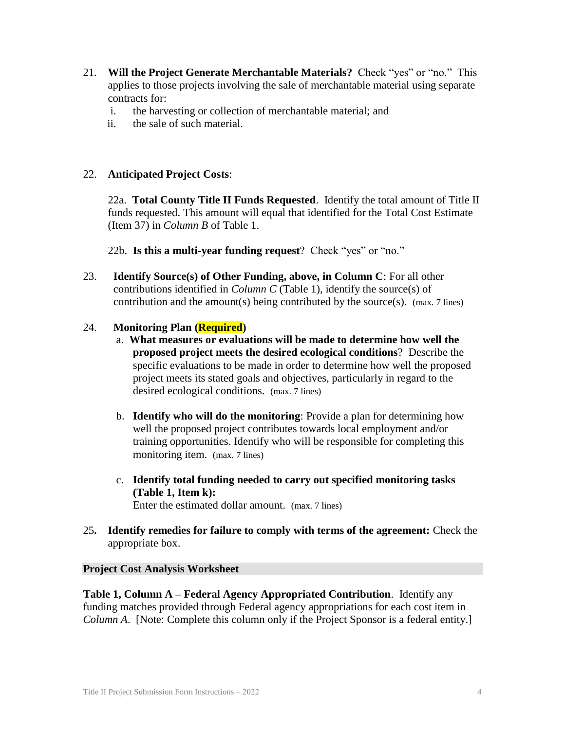- 21. **Will the Project Generate Merchantable Materials?** Check "yes" or "no." This applies to those projects involving the sale of merchantable material using separate contracts for:
	- i. the harvesting or collection of merchantable material; and
	- ii. the sale of such material.

# 22. **Anticipated Project Costs**:

22a. **Total County Title II Funds Requested**. Identify the total amount of Title II funds requested. This amount will equal that identified for the Total Cost Estimate (Item 37) in *Column B* of Table 1.

22b. **Is this a multi-year funding request**? Check "yes" or "no."

23. **Identify Source(s) of Other Funding, above, in Column C**: For all other contributions identified in *Column C* (Table 1), identify the source(s) of contribution and the amount(s) being contributed by the source(s). (max. 7 lines)

# 24. **Monitoring Plan (Required)**

- a. **What measures or evaluations will be made to determine how well the proposed project meets the desired ecological conditions**? Describe the specific evaluations to be made in order to determine how well the proposed project meets its stated goals and objectives, particularly in regard to the desired ecological conditions. (max. 7 lines)
- b. **Identify who will do the monitoring**: Provide a plan for determining how well the proposed project contributes towards local employment and/or training opportunities. Identify who will be responsible for completing this monitoring item. (max. 7 lines)
- c. **Identify total funding needed to carry out specified monitoring tasks (Table 1, Item k):** Enter the estimated dollar amount. (max. 7 lines)
- 25**. Identify remedies for failure to comply with terms of the agreement:** Check the appropriate box.

# **Project Cost Analysis Worksheet**

**Table 1, Column A – Federal Agency Appropriated Contribution**. Identify any funding matches provided through Federal agency appropriations for each cost item in *Column A*. [Note: Complete this column only if the Project Sponsor is a federal entity.]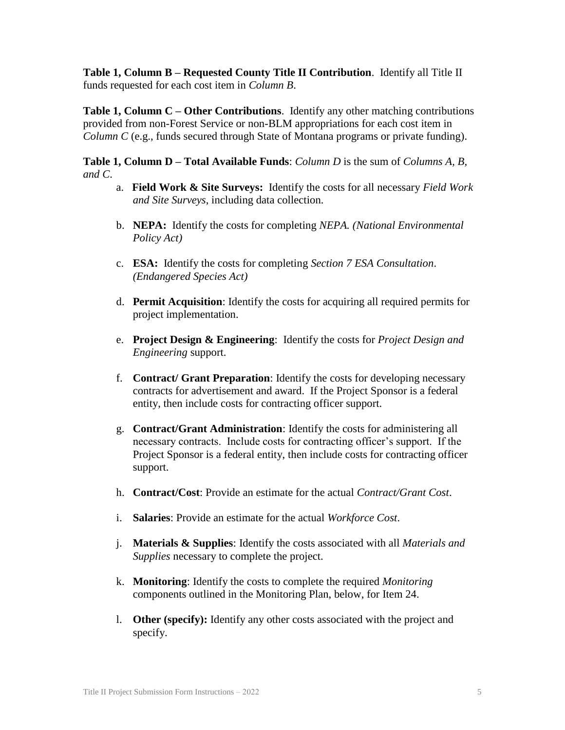**Table 1, Column B – Requested County Title II Contribution**. Identify all Title II funds requested for each cost item in *Column B*.

**Table 1, Column C – Other Contributions**. Identify any other matching contributions provided from non-Forest Service or non-BLM appropriations for each cost item in *Column C* (e.g., funds secured through State of Montana programs or private funding).

**Table 1, Column D – Total Available Funds**: *Column D* is the sum of *Columns A, B, and C*.

- a. **Field Work & Site Surveys:** Identify the costs for all necessary *Field Work and Site Surveys*, including data collection.
- b. **NEPA:** Identify the costs for completing *NEPA. (National Environmental Policy Act)*
- c. **ESA:** Identify the costs for completing *Section 7 ESA Consultation*. *(Endangered Species Act)*
- d. **Permit Acquisition**: Identify the costs for acquiring all required permits for project implementation.
- e. **Project Design & Engineering**: Identify the costs for *Project Design and Engineering* support.
- f. **Contract/ Grant Preparation**: Identify the costs for developing necessary contracts for advertisement and award. If the Project Sponsor is a federal entity, then include costs for contracting officer support.
- g. **Contract/Grant Administration**: Identify the costs for administering all necessary contracts. Include costs for contracting officer's support. If the Project Sponsor is a federal entity, then include costs for contracting officer support.
- h. **Contract/Cost**: Provide an estimate for the actual *Contract/Grant Cost*.
- i. **Salaries**: Provide an estimate for the actual *Workforce Cost*.
- j. **Materials & Supplies**: Identify the costs associated with all *Materials and Supplies* necessary to complete the project.
- k. **Monitoring**: Identify the costs to complete the required *Monitoring* components outlined in the Monitoring Plan, below, for Item 24.
- l. **Other (specify):** Identify any other costs associated with the project and specify.